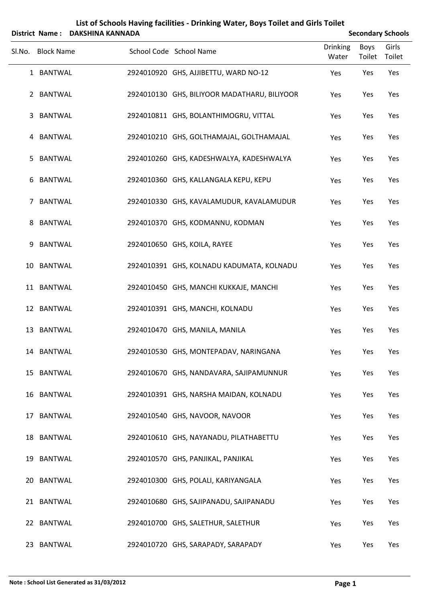|        |                   | District Name: DAKSHINA KANNADA |                                              |                          |                       | <b>Secondary Schools</b> |
|--------|-------------------|---------------------------------|----------------------------------------------|--------------------------|-----------------------|--------------------------|
| SI.No. | <b>Block Name</b> |                                 | School Code School Name                      | <b>Drinking</b><br>Water | <b>Boys</b><br>Toilet | Girls<br>Toilet          |
|        | 1 BANTWAL         |                                 | 2924010920 GHS, AJJIBETTU, WARD NO-12        | Yes                      | Yes                   | Yes                      |
|        | 2 BANTWAL         |                                 | 2924010130 GHS, BILIYOOR MADATHARU, BILIYOOR | Yes                      | Yes                   | Yes                      |
| 3      | <b>BANTWAL</b>    |                                 | 2924010811 GHS, BOLANTHIMOGRU, VITTAL        | Yes                      | Yes                   | Yes                      |
|        | 4 BANTWAL         |                                 | 2924010210 GHS, GOLTHAMAJAL, GOLTHAMAJAL     | Yes                      | Yes                   | Yes                      |
| 5      | <b>BANTWAL</b>    |                                 | 2924010260 GHS, KADESHWALYA, KADESHWALYA     | Yes                      | Yes                   | Yes                      |
| 6      | <b>BANTWAL</b>    |                                 | 2924010360 GHS, KALLANGALA KEPU, KEPU        | Yes                      | Yes                   | Yes                      |
| 7      | <b>BANTWAL</b>    |                                 | 2924010330 GHS, KAVALAMUDUR, KAVALAMUDUR     | Yes                      | Yes                   | Yes                      |
| 8      | <b>BANTWAL</b>    |                                 | 2924010370 GHS, KODMANNU, KODMAN             | Yes                      | Yes                   | Yes                      |
| 9      | <b>BANTWAL</b>    |                                 | 2924010650 GHS, KOILA, RAYEE                 | Yes                      | Yes                   | Yes                      |
| 10     | <b>BANTWAL</b>    |                                 | 2924010391 GHS, KOLNADU KADUMATA, KOLNADU    | Yes                      | Yes                   | Yes                      |
|        | 11 BANTWAL        |                                 | 2924010450 GHS, MANCHI KUKKAJE, MANCHI       | Yes                      | Yes                   | Yes                      |
|        | 12 BANTWAL        |                                 | 2924010391 GHS, MANCHI, KOLNADU              | Yes                      | Yes                   | Yes                      |
| 13     | <b>BANTWAL</b>    |                                 | 2924010470 GHS, MANILA, MANILA               | Yes                      | Yes                   | Yes                      |
|        | 14 BANTWAL        |                                 | 2924010530 GHS, MONTEPADAV, NARINGANA        | Yes                      | Yes                   | Yes                      |
|        | 15 BANTWAL        |                                 | 2924010670 GHS, NANDAVARA, SAJIPAMUNNUR      | Yes                      | Yes                   | Yes                      |
|        | 16 BANTWAL        |                                 | 2924010391 GHS, NARSHA MAIDAN, KOLNADU       | Yes                      | Yes                   | Yes                      |
|        | 17 BANTWAL        |                                 | 2924010540 GHS, NAVOOR, NAVOOR               | Yes                      | Yes                   | Yes                      |
|        | 18 BANTWAL        |                                 | 2924010610 GHS, NAYANADU, PILATHABETTU       | Yes                      | Yes                   | Yes                      |
|        | 19 BANTWAL        |                                 | 2924010570 GHS, PANJIKAL, PANJIKAL           | Yes                      | Yes                   | Yes                      |
|        | 20 BANTWAL        |                                 | 2924010300 GHS, POLALI, KARIYANGALA          | Yes                      | Yes                   | Yes                      |
|        | 21 BANTWAL        |                                 | 2924010680 GHS, SAJIPANADU, SAJIPANADU       | Yes                      | Yes                   | Yes                      |
|        | 22 BANTWAL        |                                 | 2924010700 GHS, SALETHUR, SALETHUR           | Yes                      | Yes                   | Yes                      |
|        | 23 BANTWAL        |                                 | 2924010720 GHS, SARAPADY, SARAPADY           | Yes                      | Yes                   | Yes                      |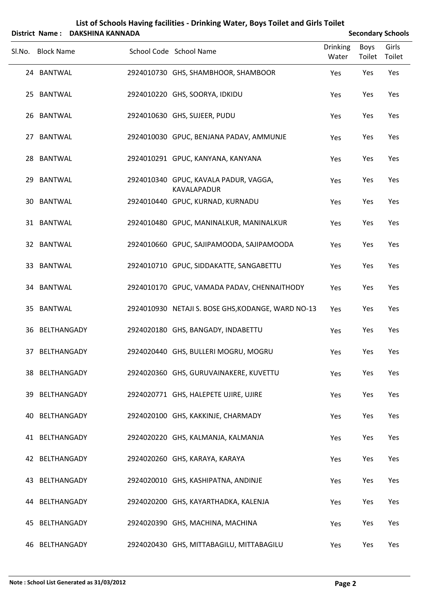|        |                   | District Name: DAKSHINA KANNADA |                                                             |                          |                | <b>Secondary Schools</b> |
|--------|-------------------|---------------------------------|-------------------------------------------------------------|--------------------------|----------------|--------------------------|
| SI.No. | <b>Block Name</b> |                                 | School Code School Name                                     | <b>Drinking</b><br>Water | Boys<br>Toilet | Girls<br>Toilet          |
|        | 24 BANTWAL        |                                 | 2924010730 GHS, SHAMBHOOR, SHAMBOOR                         | Yes                      | Yes            | Yes                      |
|        | 25 BANTWAL        |                                 | 2924010220 GHS, SOORYA, IDKIDU                              | Yes                      | Yes            | Yes                      |
|        | 26 BANTWAL        |                                 | 2924010630 GHS, SUJEER, PUDU                                | Yes                      | Yes            | Yes                      |
|        | 27 BANTWAL        |                                 | 2924010030 GPUC, BENJANA PADAV, AMMUNJE                     | Yes                      | Yes            | Yes                      |
|        | 28 BANTWAL        |                                 | 2924010291 GPUC, KANYANA, KANYANA                           | Yes                      | Yes            | Yes                      |
| 29     | BANTWAL           |                                 | 2924010340 GPUC, KAVALA PADUR, VAGGA,<br><b>KAVALAPADUR</b> | Yes                      | Yes            | Yes                      |
|        | 30 BANTWAL        |                                 | 2924010440 GPUC, KURNAD, KURNADU                            | Yes                      | Yes            | Yes                      |
|        | 31 BANTWAL        |                                 | 2924010480 GPUC, MANINALKUR, MANINALKUR                     | Yes                      | Yes            | Yes                      |
|        | 32 BANTWAL        |                                 | 2924010660 GPUC, SAJIPAMOODA, SAJIPAMOODA                   | Yes                      | Yes            | Yes                      |
|        | 33 BANTWAL        |                                 | 2924010710 GPUC, SIDDAKATTE, SANGABETTU                     | Yes                      | Yes            | Yes                      |
|        | 34 BANTWAL        |                                 | 2924010170 GPUC, VAMADA PADAV, CHENNAITHODY                 | Yes                      | Yes            | Yes                      |
|        | 35 BANTWAL        |                                 | 2924010930 NETAJI S. BOSE GHS, KODANGE, WARD NO-13          | Yes                      | Yes            | Yes                      |
|        | 36 BELTHANGADY    |                                 | 2924020180 GHS, BANGADY, INDABETTU                          | Yes                      | Yes            | Yes                      |
|        | 37 BELTHANGADY    |                                 | 2924020440 GHS, BULLERI MOGRU, MOGRU                        | Yes                      | Yes            | Yes                      |
|        | 38 BELTHANGADY    |                                 | 2924020360 GHS, GURUVAINAKERE, KUVETTU                      | Yes                      | Yes            | Yes                      |
| 39.    | BELTHANGADY       |                                 | 2924020771 GHS, HALEPETE UJIRE, UJIRE                       | Yes                      | Yes            | Yes                      |
| 40.    | BELTHANGADY       |                                 | 2924020100 GHS, KAKKINJE, CHARMADY                          | Yes                      | Yes            | Yes                      |
|        | 41 BELTHANGADY    |                                 | 2924020220 GHS, KALMANJA, KALMANJA                          | Yes                      | Yes            | Yes                      |
|        | 42 BELTHANGADY    |                                 | 2924020260 GHS, KARAYA, KARAYA                              | Yes                      | Yes            | Yes                      |
| 43.    | BELTHANGADY       |                                 | 2924020010 GHS, KASHIPATNA, ANDINJE                         | Yes                      | Yes            | Yes                      |
| 44.    | BELTHANGADY       |                                 | 2924020200 GHS, KAYARTHADKA, KALENJA                        | Yes                      | Yes            | Yes                      |
| 45     | BELTHANGADY       |                                 | 2924020390 GHS, MACHINA, MACHINA                            | Yes                      | Yes            | Yes                      |
|        | 46 BELTHANGADY    |                                 | 2924020430 GHS, MITTABAGILU, MITTABAGILU                    | Yes                      | Yes            | Yes                      |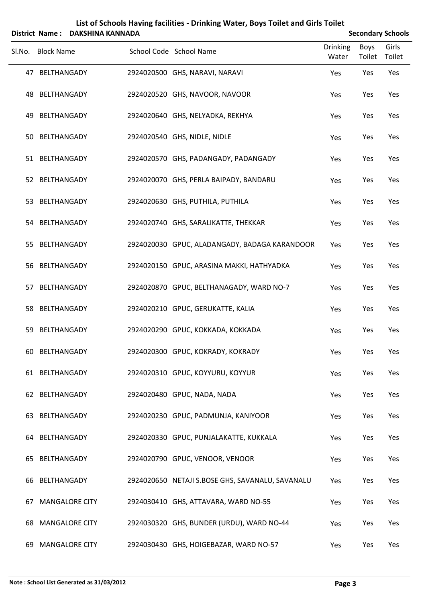|        |                   | District Name: DAKSHINA KANNADA |                                                  |                          |                       | <b>Secondary Schools</b> |
|--------|-------------------|---------------------------------|--------------------------------------------------|--------------------------|-----------------------|--------------------------|
| Sl.No. | <b>Block Name</b> |                                 | School Code School Name                          | <b>Drinking</b><br>Water | <b>Boys</b><br>Toilet | Girls<br>Toilet          |
|        | 47 BELTHANGADY    |                                 | 2924020500 GHS, NARAVI, NARAVI                   | Yes                      | Yes                   | Yes                      |
|        | 48 BELTHANGADY    |                                 | 2924020520 GHS, NAVOOR, NAVOOR                   | Yes                      | Yes                   | Yes                      |
|        | 49 BELTHANGADY    |                                 | 2924020640 GHS, NELYADKA, REKHYA                 | Yes                      | Yes                   | Yes                      |
|        | 50 BELTHANGADY    |                                 | 2924020540 GHS, NIDLE, NIDLE                     | Yes                      | Yes                   | Yes                      |
|        | 51 BELTHANGADY    |                                 | 2924020570 GHS, PADANGADY, PADANGADY             | Yes                      | Yes                   | Yes                      |
|        | 52 BELTHANGADY    |                                 | 2924020070 GHS, PERLA BAIPADY, BANDARU           | Yes                      | Yes                   | Yes                      |
|        | 53 BELTHANGADY    |                                 | 2924020630 GHS, PUTHILA, PUTHILA                 | Yes                      | Yes                   | Yes                      |
|        | 54 BELTHANGADY    |                                 | 2924020740 GHS, SARALIKATTE, THEKKAR             | Yes                      | Yes                   | Yes                      |
|        | 55 BELTHANGADY    |                                 | 2924020030 GPUC, ALADANGADY, BADAGA KARANDOOR    | Yes                      | Yes                   | Yes                      |
|        | 56 BELTHANGADY    |                                 | 2924020150 GPUC, ARASINA MAKKI, HATHYADKA        | Yes                      | Yes                   | Yes                      |
|        | 57 BELTHANGADY    |                                 | 2924020870 GPUC, BELTHANAGADY, WARD NO-7         | Yes                      | Yes                   | Yes                      |
|        | 58 BELTHANGADY    |                                 | 2924020210 GPUC, GERUKATTE, KALIA                | Yes                      | Yes                   | Yes                      |
| 59     | BELTHANGADY       |                                 | 2924020290 GPUC, KOKKADA, KOKKADA                | Yes                      | Yes                   | Yes                      |
|        | 60 BELTHANGADY    |                                 | 2924020300 GPUC, KOKRADY, KOKRADY                | Yes                      | Yes                   | Yes                      |
|        | 61 BELTHANGADY    |                                 | 2924020310 GPUC, KOYYURU, KOYYUR                 | Yes                      | Yes                   | Yes                      |
|        | 62 BELTHANGADY    |                                 | 2924020480 GPUC, NADA, NADA                      | Yes                      | Yes                   | Yes                      |
|        | 63 BELTHANGADY    |                                 | 2924020230 GPUC, PADMUNJA, KANIYOOR              | Yes                      | Yes                   | Yes                      |
|        | 64 BELTHANGADY    |                                 | 2924020330 GPUC, PUNJALAKATTE, KUKKALA           | Yes                      | Yes                   | Yes                      |
|        | 65 BELTHANGADY    |                                 | 2924020790 GPUC, VENOOR, VENOOR                  | Yes                      | Yes                   | Yes                      |
| 66     | BELTHANGADY       |                                 | 2924020650 NETAJI S.BOSE GHS, SAVANALU, SAVANALU | Yes                      | Yes                   | Yes                      |
| 67     |                   | <b>MANGALORE CITY</b>           | 2924030410 GHS, ATTAVARA, WARD NO-55             | Yes                      | Yes                   | Yes                      |
| 68     |                   | <b>MANGALORE CITY</b>           | 2924030320 GHS, BUNDER (URDU), WARD NO-44        | Yes                      | Yes                   | Yes                      |
| 69.    |                   | <b>MANGALORE CITY</b>           | 2924030430 GHS, HOIGEBAZAR, WARD NO-57           | Yes                      | Yes                   | Yes                      |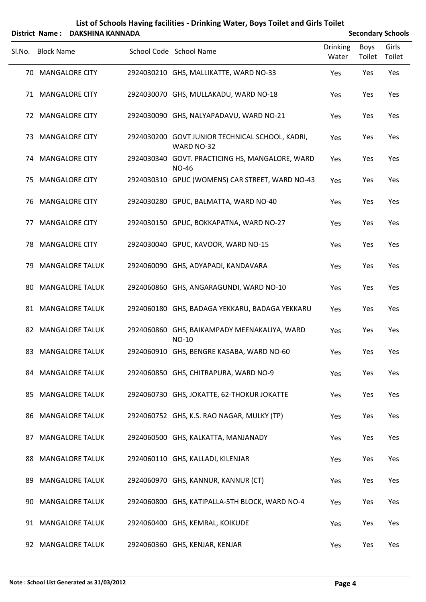**List of Schools Having facilities ‐ Drinking Water, Boys Toilet and Girls Toilet District Name:** DAKSHINA KANNADA **District Name Secondary** Schools

|     | Sl.No. Block Name      | School Code School Name                                         | <b>Drinking</b><br>Water | Boys<br>Toilet | Girls<br>Toilet |
|-----|------------------------|-----------------------------------------------------------------|--------------------------|----------------|-----------------|
|     | 70 MANGALORE CITY      | 2924030210 GHS, MALLIKATTE, WARD NO-33                          | Yes                      | Yes            | Yes             |
|     | 71 MANGALORE CITY      | 2924030070 GHS, MULLAKADU, WARD NO-18                           | Yes                      | Yes            | Yes             |
| 72  | <b>MANGALORE CITY</b>  | 2924030090 GHS, NALYAPADAVU, WARD NO-21                         | Yes                      | Yes            | Yes             |
|     | 73 MANGALORE CITY      | 2924030200 GOVT JUNIOR TECHNICAL SCHOOL, KADRI,<br>WARD NO-32   | Yes                      | Yes            | Yes             |
|     | 74 MANGALORE CITY      | 2924030340 GOVT. PRACTICING HS, MANGALORE, WARD<br><b>NO-46</b> | Yes                      | Yes            | Yes             |
|     | 75 MANGALORE CITY      | 2924030310 GPUC (WOMENS) CAR STREET, WARD NO-43                 | Yes                      | Yes            | Yes             |
| 76. | <b>MANGALORE CITY</b>  | 2924030280 GPUC, BALMATTA, WARD NO-40                           | Yes                      | Yes            | Yes             |
| 77  | <b>MANGALORE CITY</b>  | 2924030150 GPUC, BOKKAPATNA, WARD NO-27                         | Yes                      | Yes            | Yes             |
| 78. | <b>MANGALORE CITY</b>  | 2924030040 GPUC, KAVOOR, WARD NO-15                             | Yes                      | Yes            | Yes             |
| 79. | <b>MANGALORE TALUK</b> | 2924060090 GHS, ADYAPADI, KANDAVARA                             | Yes                      | Yes            | Yes             |
| 80  | <b>MANGALORE TALUK</b> | 2924060860 GHS, ANGARAGUNDI, WARD NO-10                         | Yes                      | Yes            | Yes             |
|     | 81 MANGALORE TALUK     | 2924060180 GHS, BADAGA YEKKARU, BADAGA YEKKARU                  | Yes                      | Yes            | Yes             |
|     | 82 MANGALORE TALUK     | 2924060860 GHS, BAIKAMPADY MEENAKALIYA, WARD<br>NO-10           | Yes                      | Yes            | Yes             |
|     | 83 MANGALORE TALUK     | 2924060910 GHS, BENGRE KASABA, WARD NO-60                       | Yes                      | Yes            | Yes             |
|     | 84 MANGALORE TALUK     | 2924060850 GHS, CHITRAPURA, WARD NO-9                           | Yes                      | Yes            | Yes             |
| 85. | <b>MANGALORE TALUK</b> | 2924060730 GHS, JOKATTE, 62-THOKUR JOKATTE                      | Yes                      | Yes            | Yes             |
| 86. | <b>MANGALORE TALUK</b> | 2924060752 GHS, K.S. RAO NAGAR, MULKY (TP)                      | Yes                      | Yes            | Yes             |
| 87  | <b>MANGALORE TALUK</b> | 2924060500 GHS, KALKATTA, MANJANADY                             | Yes                      | Yes            | Yes             |
| 88  | <b>MANGALORE TALUK</b> | 2924060110 GHS, KALLADI, KILENJAR                               | Yes                      | Yes            | Yes             |
| 89  | <b>MANGALORE TALUK</b> | 2924060970 GHS, KANNUR, KANNUR (CT)                             | Yes                      | Yes            | Yes             |
| 90. | <b>MANGALORE TALUK</b> | 2924060800 GHS, KATIPALLA-5TH BLOCK, WARD NO-4                  | Yes                      | Yes            | Yes             |
| 91  | <b>MANGALORE TALUK</b> | 2924060400 GHS, KEMRAL, KOIKUDE                                 | Yes                      | Yes            | Yes             |
| 92  | <b>MANGALORE TALUK</b> | 2924060360 GHS, KENJAR, KENJAR                                  | Yes                      | Yes            | Yes             |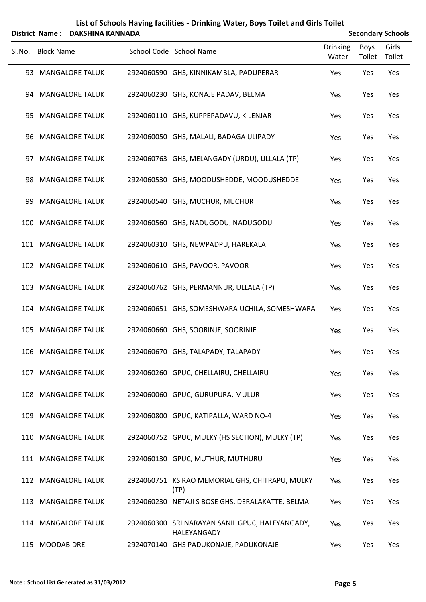| List of Schools Having facilities - Drinking Water, Boys Toilet and Girls Toilet |
|----------------------------------------------------------------------------------|
| _ _ _ _ _ _ _ _ _ _ _ _ _ _ _ _ _ _ _                                            |

| <b>Secondary Schools</b> |  |
|--------------------------|--|
|                          |  |

|        | District Name:    | <b>DAKSHINA KANNADA</b> |                                                                |                          |                       | <b>Secondary Schools</b> |
|--------|-------------------|-------------------------|----------------------------------------------------------------|--------------------------|-----------------------|--------------------------|
| SI.No. | <b>Block Name</b> |                         | School Code School Name                                        | <b>Drinking</b><br>Water | <b>Boys</b><br>Toilet | Girls<br>Toilet          |
|        |                   | 93 MANGALORE TALUK      | 2924060590 GHS, KINNIKAMBLA, PADUPERAR                         | Yes                      | Yes                   | Yes                      |
|        |                   | 94 MANGALORE TALUK      | 2924060230 GHS, KONAJE PADAV, BELMA                            | Yes                      | Yes                   | Yes                      |
| 95.    |                   | <b>MANGALORE TALUK</b>  | 2924060110 GHS, KUPPEPADAVU, KILENJAR                          | Yes                      | Yes                   | Yes                      |
|        |                   | 96 MANGALORE TALUK      | 2924060050 GHS, MALALI, BADAGA ULIPADY                         | Yes                      | Yes                   | Yes                      |
| 97.    |                   | <b>MANGALORE TALUK</b>  | 2924060763 GHS, MELANGADY (URDU), ULLALA (TP)                  | Yes                      | Yes                   | Yes                      |
|        |                   | 98 MANGALORE TALUK      | 2924060530 GHS, MOODUSHEDDE, MOODUSHEDDE                       | Yes                      | Yes                   | Yes                      |
| 99     |                   | <b>MANGALORE TALUK</b>  | 2924060540 GHS, MUCHUR, MUCHUR                                 | Yes                      | Yes                   | Yes                      |
| 100    |                   | <b>MANGALORE TALUK</b>  | 2924060560 GHS, NADUGODU, NADUGODU                             | Yes                      | Yes                   | Yes                      |
|        |                   | 101 MANGALORE TALUK     | 2924060310 GHS, NEWPADPU, HAREKALA                             | Yes                      | Yes                   | Yes                      |
|        |                   | 102 MANGALORE TALUK     | 2924060610 GHS, PAVOOR, PAVOOR                                 | Yes                      | Yes                   | Yes                      |
| 103    |                   | <b>MANGALORE TALUK</b>  | 2924060762 GHS, PERMANNUR, ULLALA (TP)                         | Yes                      | Yes                   | Yes                      |
|        |                   | 104 MANGALORE TALUK     | 2924060651 GHS, SOMESHWARA UCHILA, SOMESHWARA                  | Yes                      | Yes                   | Yes                      |
| 105    |                   | <b>MANGALORE TALUK</b>  | 2924060660 GHS, SOORINJE, SOORINJE                             | Yes                      | Yes                   | Yes                      |
|        |                   | 106 MANGALORE TALUK     | 2924060670 GHS, TALAPADY, TALAPADY                             | Yes                      | Yes                   | Yes                      |
|        |                   | 107 MANGALORE TALUK     | 2924060260 GPUC, CHELLAIRU, CHELLAIRU                          | Yes                      | Yes                   | Yes                      |
|        |                   | 108 MANGALORE TALUK     | 2924060060 GPUC, GURUPURA, MULUR                               | Yes                      | Yes                   | Yes                      |
| 109    |                   | <b>MANGALORE TALUK</b>  | 2924060800 GPUC, KATIPALLA, WARD NO-4                          | Yes                      | Yes                   | Yes                      |
|        |                   | 110 MANGALORE TALUK     | 2924060752 GPUC, MULKY (HS SECTION), MULKY (TP)                | Yes                      | Yes                   | Yes                      |
|        |                   | 111 MANGALORE TALUK     | 2924060130 GPUC, MUTHUR, MUTHURU                               | Yes                      | Yes                   | Yes                      |
|        |                   | 112 MANGALORE TALUK     | 2924060751 KS RAO MEMORIAL GHS, CHITRAPU, MULKY<br>(TP)        | Yes                      | Yes                   | Yes                      |
|        |                   | 113 MANGALORE TALUK     | 2924060230 NETAJI S BOSE GHS, DERALAKATTE, BELMA               | Yes                      | Yes                   | Yes                      |
|        |                   | 114 MANGALORE TALUK     | 2924060300 SRI NARAYAN SANIL GPUC, HALEYANGADY,<br>HALEYANGADY | Yes                      | Yes                   | Yes                      |
|        | 115 MOODABIDRE    |                         | 2924070140 GHS PADUKONAJE, PADUKONAJE                          | Yes                      | Yes                   | Yes                      |

 $\ddot{}$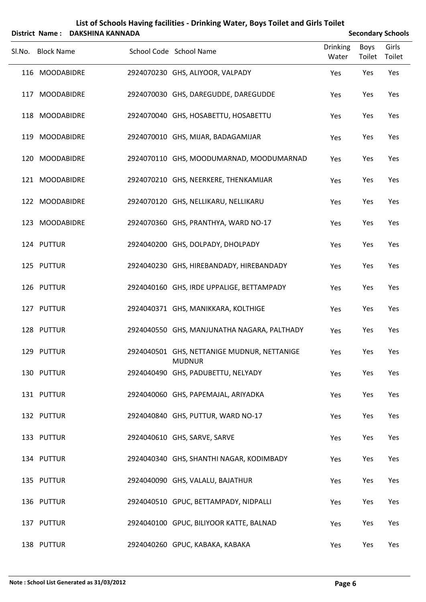| List of Schools Having facilities - Drinking Water, Boys Toilet and Girls Toilet |                                     |
|----------------------------------------------------------------------------------|-------------------------------------|
| Nictrict Name: DAVCUINA VANNIADA                                                 | $S_{\alpha\alpha\alpha\beta\gamma}$ |

|        | District Name: DAKSHINA KANNADA |                                                              | <b>Secondary Schools</b> |                |                 |  |
|--------|---------------------------------|--------------------------------------------------------------|--------------------------|----------------|-----------------|--|
| SI.No. | <b>Block Name</b>               | School Code School Name                                      | <b>Drinking</b><br>Water | Boys<br>Toilet | Girls<br>Toilet |  |
|        | 116 MOODABIDRE                  | 2924070230 GHS, ALIYOOR, VALPADY                             | Yes                      | Yes            | Yes             |  |
|        | 117 MOODABIDRE                  | 2924070030 GHS, DAREGUDDE, DAREGUDDE                         | Yes                      | Yes            | Yes             |  |
|        | 118 MOODABIDRE                  | 2924070040 GHS, HOSABETTU, HOSABETTU                         | Yes                      | Yes            | Yes             |  |
|        | 119 MOODABIDRE                  | 2924070010 GHS, MIJAR, BADAGAMIJAR                           | Yes                      | Yes            | Yes             |  |
|        | 120 MOODABIDRE                  | 2924070110 GHS, MOODUMARNAD, MOODUMARNAD                     | Yes                      | Yes            | Yes             |  |
|        | 121 MOODABIDRE                  | 2924070210 GHS, NEERKERE, THENKAMIJAR                        | Yes                      | Yes            | Yes             |  |
|        | 122 MOODABIDRE                  | 2924070120 GHS, NELLIKARU, NELLIKARU                         | Yes                      | Yes            | Yes             |  |
|        | 123 MOODABIDRE                  | 2924070360 GHS, PRANTHYA, WARD NO-17                         | Yes                      | Yes            | Yes             |  |
|        | 124 PUTTUR                      | 2924040200 GHS, DOLPADY, DHOLPADY                            | Yes                      | Yes            | Yes             |  |
|        | 125 PUTTUR                      | 2924040230 GHS, HIREBANDADY, HIREBANDADY                     | Yes                      | Yes            | Yes             |  |
|        | 126 PUTTUR                      | 2924040160 GHS, IRDE UPPALIGE, BETTAMPADY                    | Yes                      | Yes            | Yes             |  |
|        | 127 PUTTUR                      | 2924040371 GHS, MANIKKARA, KOLTHIGE                          | Yes                      | Yes            | Yes             |  |
|        | 128 PUTTUR                      | 2924040550 GHS, MANJUNATHA NAGARA, PALTHADY                  | Yes                      | Yes            | Yes             |  |
|        | 129 PUTTUR                      | 2924040501 GHS, NETTANIGE MUDNUR, NETTANIGE<br><b>MUDNUR</b> | Yes                      | Yes            | Yes             |  |
|        | 130 PUTTUR                      | 2924040490 GHS, PADUBETTU, NELYADY                           | Yes                      | Yes            | Yes             |  |
|        | 131 PUTTUR                      | 2924040060 GHS, PAPEMAJAL, ARIYADKA                          | Yes                      | Yes            | Yes             |  |
|        | 132 PUTTUR                      | 2924040840 GHS, PUTTUR, WARD NO-17                           | Yes                      | Yes            | Yes             |  |
|        | 133 PUTTUR                      | 2924040610 GHS, SARVE, SARVE                                 | Yes                      | Yes            | Yes             |  |
|        | 134 PUTTUR                      | 2924040340 GHS, SHANTHI NAGAR, KODIMBADY                     | Yes                      | Yes            | Yes             |  |
|        | 135 PUTTUR                      | 2924040090 GHS, VALALU, BAJATHUR                             | Yes                      | Yes            | Yes             |  |
|        | 136 PUTTUR                      | 2924040510 GPUC, BETTAMPADY, NIDPALLI                        | Yes                      | Yes            | Yes             |  |
|        | 137 PUTTUR                      | 2924040100 GPUC, BILIYOOR KATTE, BALNAD                      | Yes                      | Yes            | Yes             |  |
|        | 138 PUTTUR                      | 2924040260 GPUC, KABAKA, KABAKA                              | Yes                      | Yes            | Yes             |  |